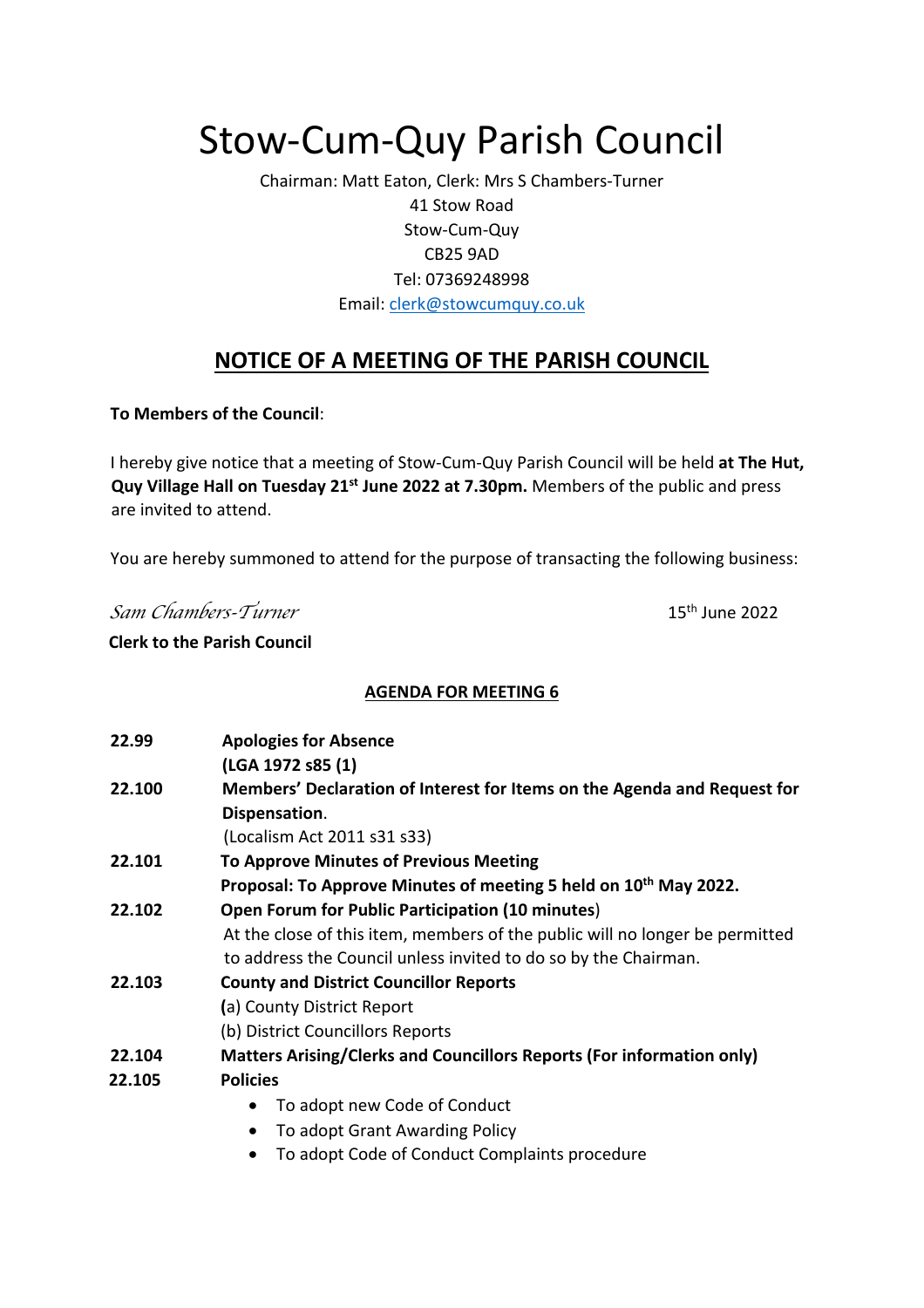# Stow-Cum-Quy Parish Council

Chairman: Matt Eaton, Clerk: Mrs S Chambers-Turner 41 Stow Road Stow-Cum-Quy CB25 9AD Tel: 07369248998 Email: clerk@stowcumquy.co.uk

## **NOTICE OF A MEETING OF THE PARISH COUNCIL**

**To Members of the Council**:

I hereby give notice that a meeting of Stow-Cum-Quy Parish Council will be held **at The Hut, Quy Village Hall on Tuesday 21st June 2022 at 7.30pm.** Members of the public and press are invited to attend.

You are hereby summoned to attend for the purpose of transacting the following business:

*Sam Chambers-Turner*<br>15<sup>th</sup> June 2022

#### **Clerk to the Parish Council**

## **AGENDA FOR MEETING 6**

| 22.99  | <b>Apologies for Absence</b>                                                 |  |  |  |
|--------|------------------------------------------------------------------------------|--|--|--|
|        | (LGA 1972 s85 (1)                                                            |  |  |  |
| 22.100 | Members' Declaration of Interest for Items on the Agenda and Request for     |  |  |  |
|        | Dispensation.                                                                |  |  |  |
|        | (Localism Act 2011 s31 s33)                                                  |  |  |  |
| 22.101 | <b>To Approve Minutes of Previous Meeting</b>                                |  |  |  |
|        | Proposal: To Approve Minutes of meeting 5 held on 10 <sup>th</sup> May 2022. |  |  |  |
| 22.102 | <b>Open Forum for Public Participation (10 minutes)</b>                      |  |  |  |
|        | At the close of this item, members of the public will no longer be permitted |  |  |  |
|        | to address the Council unless invited to do so by the Chairman.              |  |  |  |
| 22.103 | <b>County and District Councillor Reports</b>                                |  |  |  |
|        | (a) County District Report                                                   |  |  |  |
|        | (b) District Councillors Reports                                             |  |  |  |
| 22.104 | <b>Matters Arising/Clerks and Councillors Reports (For information only)</b> |  |  |  |
| 22.105 | <b>Policies</b>                                                              |  |  |  |
|        | To adopt new Code of Conduct                                                 |  |  |  |
|        | To adopt Grant Awarding Policy<br>$\bullet$                                  |  |  |  |
|        | To adopt Code of Conduct Complaints procedure<br>٠                           |  |  |  |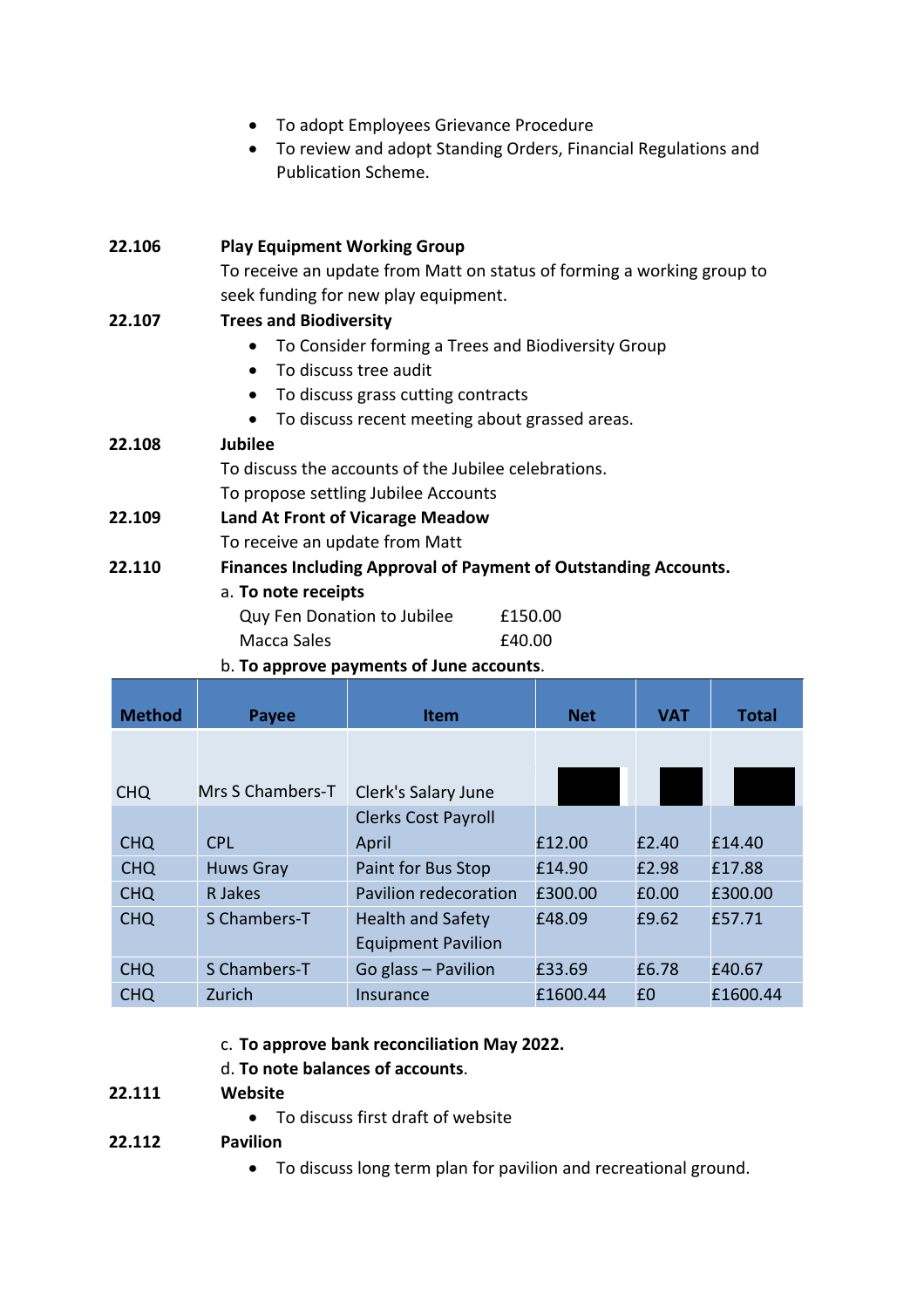|        | To adopt Employees Grievance Procedure<br>Publication Scheme.                                                  | To review and adopt Standing Orders, Financial Regulations and |  |  |  |  |
|--------|----------------------------------------------------------------------------------------------------------------|----------------------------------------------------------------|--|--|--|--|
| 22.106 | <b>Play Equipment Working Group</b>                                                                            |                                                                |  |  |  |  |
|        | To receive an update from Matt on status of forming a working group to<br>seek funding for new play equipment. |                                                                |  |  |  |  |
| 22.107 | <b>Trees and Biodiversity</b>                                                                                  |                                                                |  |  |  |  |
|        | To Consider forming a Trees and Biodiversity Group                                                             |                                                                |  |  |  |  |
|        | To discuss tree audit<br>$\bullet$                                                                             |                                                                |  |  |  |  |
|        | To discuss grass cutting contracts<br>$\bullet$                                                                |                                                                |  |  |  |  |
|        | To discuss recent meeting about grassed areas.                                                                 |                                                                |  |  |  |  |
| 22.108 | <b>Jubilee</b>                                                                                                 |                                                                |  |  |  |  |
|        | To discuss the accounts of the Jubilee celebrations.                                                           |                                                                |  |  |  |  |
|        | To propose settling Jubilee Accounts                                                                           |                                                                |  |  |  |  |
| 22.109 | <b>Land At Front of Vicarage Meadow</b>                                                                        |                                                                |  |  |  |  |
|        | To receive an update from Matt                                                                                 |                                                                |  |  |  |  |
| 22.110 | <b>Finances Including Approval of Payment of Outstanding Accounts.</b>                                         |                                                                |  |  |  |  |
|        | a. To note receipts                                                                                            |                                                                |  |  |  |  |
|        | Quy Fen Donation to Jubilee                                                                                    | £150.00                                                        |  |  |  |  |
|        | Macca Sales                                                                                                    | £40.00                                                         |  |  |  |  |
|        | b. To approve payments of June accounts.                                                                       |                                                                |  |  |  |  |

| <b>Method</b> | Payee            | Item                       | <b>Net</b> | <b>VAT</b> | <b>Total</b> |
|---------------|------------------|----------------------------|------------|------------|--------------|
|               |                  |                            |            |            |              |
| <b>CHQ</b>    | Mrs S Chambers-T | Clerk's Salary June        |            |            |              |
|               |                  | <b>Clerks Cost Payroll</b> |            |            |              |
| <b>CHQ</b>    | <b>CPL</b>       | April                      | £12.00     | £2.40      | £14.40       |
| <b>CHQ</b>    | <b>Huws Gray</b> | Paint for Bus Stop         | £14.90     | £2.98      | £17.88       |
| <b>CHQ</b>    | R Jakes          | Pavilion redecoration      | £300.00    | £0.00      | £300.00      |
| <b>CHQ</b>    | S Chambers-T     | <b>Health and Safety</b>   | £48.09     | £9.62      | £57.71       |
|               |                  | <b>Equipment Pavilion</b>  |            |            |              |
| <b>CHQ</b>    | S Chambers-T     | Go glass - Pavilion        | £33.69     | £6.78      | £40.67       |
| <b>CHQ</b>    | Zurich           | Insurance                  | £1600.44   | £0         | £1600.44     |

## c. **To approve bank reconciliation May 2022.**

## d. **To note balances of accounts**.

#### **22.111 Website**

• To discuss first draft of website

## **22.112 Pavilion**

• To discuss long term plan for pavilion and recreational ground.